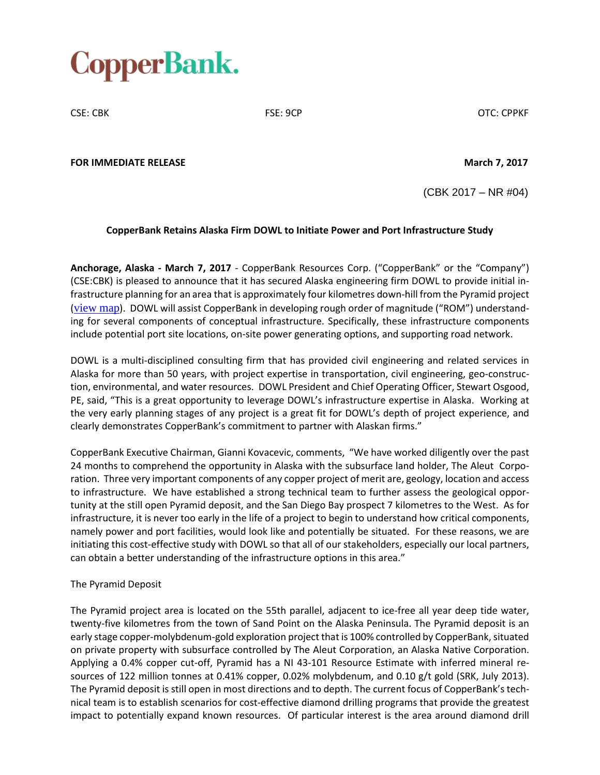

CSE: CBK CSE: OCP CSE: 9CP CSE: OCP COTC: CPPKF

**FOR IMMEDIATE RELEASE March 7, 2017**

(CBK 2017 – NR #04)

## **CopperBank Retains Alaska Firm DOWL to Initiate Power and Port Infrastructure Study**

**Anchorage, Alaska - March 7, 2017** - CopperBank Resources Corp. ("CopperBank" or the "Company") (CSE:CBK) is pleased to announce that it has secured Alaska engineering firm DOWL to provide initial infrastructure planning for an area that is approximately four kilometres down-hill from the Pyramid project ([view](http://copperbankcorp.com/wp-content/uploads/2017/03/Arial-of-Pyarmid-Facility-Locations.jpg) map). DOWL will assist CopperBank in developing rough order of magnitude ("ROM") understanding for several components of conceptual infrastructure. Specifically, these infrastructure components include potential port site locations, on-site power generating options, and supporting road network.

DOWL is a multi-disciplined consulting firm that has provided civil engineering and related services in Alaska for more than 50 years, with project expertise in transportation, civil engineering, geo-construction, environmental, and water resources. DOWL President and Chief Operating Officer, Stewart Osgood, PE, said, "This is a great opportunity to leverage DOWL's infrastructure expertise in Alaska. Working at the very early planning stages of any project is a great fit for DOWL's depth of project experience, and clearly demonstrates CopperBank's commitment to partner with Alaskan firms."

CopperBank Executive Chairman, Gianni Kovacevic, comments, "We have worked diligently over the past 24 months to comprehend the opportunity in Alaska with the subsurface land holder, The Aleut Corporation. Three very important components of any copper project of merit are, geology, location and access to infrastructure. We have established a strong technical team to further assess the geological opportunity at the still open Pyramid deposit, and the San Diego Bay prospect 7 kilometres to the West. As for infrastructure, it is never too early in the life of a project to begin to understand how critical components, namely power and port facilities, would look like and potentially be situated. For these reasons, we are initiating this cost-effective study with DOWL so that all of our stakeholders, especially our local partners, can obtain a better understanding of the infrastructure options in this area."

## The Pyramid Deposit

The Pyramid project area is located on the 55th parallel, adjacent to ice-free all year deep tide water, twenty-five kilometres from the town of Sand Point on the Alaska Peninsula. The Pyramid deposit is an early stage copper-molybdenum-gold exploration project that is 100% controlled by CopperBank, situated on private property with subsurface controlled by The Aleut Corporation, an Alaska Native Corporation. Applying a 0.4% copper cut-off, Pyramid has a NI 43-101 Resource Estimate with inferred mineral resources of 122 million tonnes at 0.41% copper, 0.02% molybdenum, and 0.10 g/t gold (SRK, July 2013). The Pyramid deposit is still open in most directions and to depth. The current focus of CopperBank's technical team is to establish scenarios for cost-effective diamond drilling programs that provide the greatest impact to potentially expand known resources. Of particular interest is the area around diamond drill